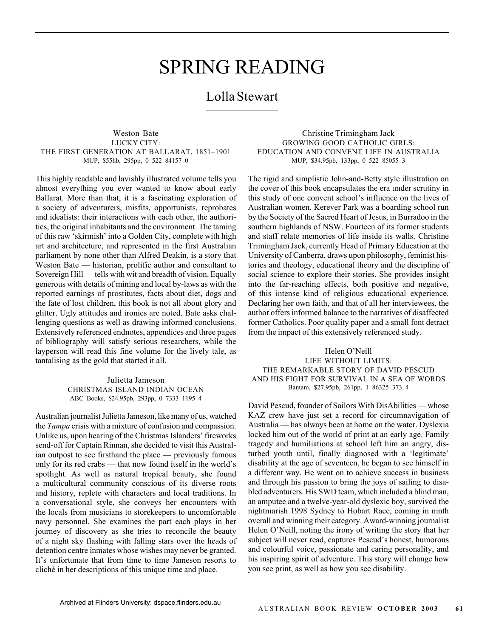# SPRING READING

# Lolla Stewart

Weston Bate LUCKY CITY: THE FIRST GENERATION AT BALLARAT, 1851–1901 MUP, \$55hb, 295pp, 0 522 84157 0

This highly readable and lavishly illustrated volume tells you almost everything you ever wanted to know about early Ballarat. More than that, it is a fascinating exploration of a society of adventurers, misfits, opportunists, reprobates and idealists: their interactions with each other, the authorities, the original inhabitants and the environment. The taming of this raw 'skirmish' into a Golden City, complete with high art and architecture, and represented in the first Australian parliament by none other than Alfred Deakin, is a story that Weston Bate — historian, prolific author and consultant to Sovereign Hill — tells with wit and breadth of vision. Equally generous with details of mining and local by-laws as with the reported earnings of prostitutes, facts about diet, dogs and the fate of lost children, this book is not all about glory and glitter. Ugly attitudes and ironies are noted. Bate asks challenging questions as well as drawing informed conclusions. Extensively referenced endnotes, appendices and three pages of bibliography will satisfy serious researchers, while the layperson will read this fine volume for the lively tale, as tantalising as the gold that started it all.

> Julietta Jameson CHRISTMAS ISLAND INDIAN OCEAN ABC Books, \$24.95pb, 293pp, 0 7333 1195 4

Australian journalist Julietta Jameson, like many of us, watched the *Tampa* crisis with a mixture of confusion and compassion. Unlike us, upon hearing of the Christmas Islanders' fireworks send-off for Captain Rinnan, she decided to visit this Australian outpost to see firsthand the place — previously famous only for its red crabs — that now found itself in the world's spotlight. As well as natural tropical beauty, she found a multicultural community conscious of its diverse roots and history, replete with characters and local traditions. In a conversational style, she conveys her encounters with the locals from musicians to storekeepers to uncomfortable navy personnel. She examines the part each plays in her journey of discovery as she tries to reconcile the beauty of a night sky flashing with falling stars over the heads of detention centre inmates whose wishes may never be granted. It's unfortunate that from time to time Jameson resorts to cliché in her descriptions of this unique time and place.

Christine Trimingham Jack GROWING GOOD CATHOLIC GIRLS: EDUCATION AND CONVENT LIFE IN AUSTRALIA MUP, \$34.95pb, 133pp, 0 522 85055 3

The rigid and simplistic John-and-Betty style illustration on the cover of this book encapsulates the era under scrutiny in this study of one convent school's influence on the lives of Australian women. Kerever Park was a boarding school run by the Society of the Sacred Heart of Jesus, in Burradoo in the southern highlands of NSW. Fourteen of its former students and staff relate memories of life inside its walls. Christine Trimingham Jack, currently Head of Primary Education at the University of Canberra, draws upon philosophy, feminist histories and theology, educational theory and the discipline of social science to explore their stories. She provides insight into the far-reaching effects, both positive and negative, of this intense kind of religious educational experience. Declaring her own faith, and that of all her interviewees, the author offers informed balance to the narratives of disaffected former Catholics. Poor quality paper and a small font detract from the impact of this extensively referenced study.

Helen O'Neill LIFE WITHOUT LIMITS: THE REMARKABLE STORY OF DAVID PESCUD AND HIS FIGHT FOR SURVIVAL IN A SEA OF WORDS Bantam, \$27.95pb, 261pp, 1 86325 373 4

David Pescud, founder of Sailors With DisAbilities — whose KAZ crew have just set a record for circumnavigation of Australia — has always been at home on the water. Dyslexia locked him out of the world of print at an early age. Family tragedy and humiliations at school left him an angry, disturbed youth until, finally diagnosed with a 'legitimate' disability at the age of seventeen, he began to see himself in a different way. He went on to achieve success in business and through his passion to bring the joys of sailing to disabled adventurers. His SWD team, which included a blind man, an amputee and a twelve-year-old dyslexic boy, survived the nightmarish 1998 Sydney to Hobart Race, coming in ninth overall and winning their category. Award-winning journalist Helen O'Neill, noting the irony of writing the story that her subject will never read, captures Pescud's honest, humorous and colourful voice, passionate and caring personality, and his inspiring spirit of adventure. This story will change how you see print, as well as how you see disability.